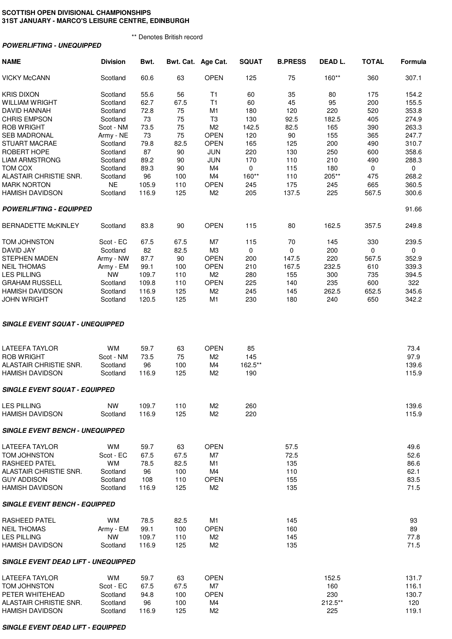## **SCOTTISH OPEN DIVISIONAL CHAMPIONSHIPS 31ST JANUARY - MARCO'S LEISURE CENTRE, EDINBURGH**

\*\* Denotes British record

|  | <b>POWERLIFTING - UNEQUIPPED</b> |  |
|--|----------------------------------|--|
|  |                                  |  |

| <b>NAME</b>                                  | <b>Division</b>      | Bwt.         |            | Bwt. Cat. Age Cat.            | <b>SQUAT</b> | <b>B.PRESS</b> | DEAD L. | <b>TOTAL</b> | Formula      |
|----------------------------------------------|----------------------|--------------|------------|-------------------------------|--------------|----------------|---------|--------------|--------------|
| <b>VICKY McCANN</b>                          | Scotland             | 60.6         | 63         | <b>OPEN</b>                   | 125          | 75             | 160**   | 360          | 307.1        |
| <b>KRIS DIXON</b>                            | Scotland             | 55.6         | 56         | T <sub>1</sub>                | 60           | 35             | 80      | 175          | 154.2        |
| <b>WILLIAM WRIGHT</b>                        | Scotland             | 62.7         | 67.5       | T1                            | 60           | 45             | 95      | 200          | 155.5        |
| DAVID HANNAH                                 | Scotland             | 72.8         | 75         | M <sub>1</sub>                | 180          | 120            | 220     | 520          | 353.8        |
| <b>CHRIS EMPSON</b>                          | Scotland             | 73           | 75         | T <sub>3</sub>                | 130          | 92.5           | 182.5   | 405          | 274.9        |
|                                              |                      |              |            |                               |              |                |         |              |              |
| <b>ROB WRIGHT</b>                            | Scot - NM            | 73.5         | 75         | M <sub>2</sub>                | 142.5        | 82.5           | 165     | 390          | 263.3        |
| <b>SEB MADRONAL</b>                          | Army - NE            | 73           | 75         | <b>OPEN</b>                   | 120          | 90             | 155     | 365          | 247.7        |
| <b>STUART MACRAE</b>                         | Scotland             | 79.8         | 82.5       | <b>OPEN</b>                   | 165          | 125            | 200     | 490          | 310.7        |
| ROBERT HOPE                                  | Scotland             | 87           | 90         | <b>JUN</b>                    | 220          | 130            | 250     | 600          | 358.6        |
| <b>LIAM ARMSTRONG</b>                        | Scotland             | 89.2         | 90         | <b>JUN</b>                    | 170          | 110            | 210     | 490          | 288.3        |
| TOM COX                                      | Scotland             | 89.3         | 90         | M4                            | 0            | 115            | 180     | 0            | 0            |
| ALASTAIR CHRISTIE SNR.                       | Scotland             | 96           | 100        | M4                            | 160**        | 110            | 205**   | 475          | 268.2        |
| <b>MARK NORTON</b>                           | <b>NE</b>            | 105.9        | 110        | <b>OPEN</b>                   | 245          | 175            | 245     | 665          | 360.5        |
|                                              |                      |              |            | M <sub>2</sub>                | 205          | 137.5          | 225     | 567.5        | 300.6        |
| <b>HAMISH DAVIDSON</b>                       | Scotland             | 116.9        | 125        |                               |              |                |         |              |              |
| <b>POWERLIFTING - EQUIPPED</b>               |                      |              |            |                               |              |                |         |              | 91.66        |
| <b>BERNADETTE McKINLEY</b>                   | Scotland             | 83.8         | 90         | <b>OPEN</b>                   | 115          | 80             | 162.5   | 357.5        | 249.8        |
| TOM JOHNSTON                                 | Scot - EC            | 67.5         | 67.5       | M7                            | 115          | 70             | 145     | 330          | 239.5        |
| DAVID JAY                                    | Scotland             | 82           | 82.5       | M <sub>3</sub>                | 0            | 0              | 200     | 0            | 0            |
| <b>STEPHEN MADEN</b>                         | Army - NW            | 87.7         | 90         | <b>OPEN</b>                   | 200          | 147.5          | 220     | 567.5        | 352.9        |
| <b>NEIL THOMAS</b>                           | Army - EM            | 99.1         | 100        | <b>OPEN</b>                   | 210          | 167.5          | 232.5   | 610          | 339.3        |
| <b>LES PILLING</b>                           | <b>NW</b>            | 109.7        | 110        | M <sub>2</sub>                | 280          | 155            | 300     | 735          | 394.5        |
|                                              |                      |              |            |                               |              |                |         |              |              |
| <b>GRAHAM RUSSELL</b>                        | Scotland             | 109.8        | 110        | <b>OPEN</b>                   | 225          | 140            | 235     | 600          | 322          |
| <b>HAMISH DAVIDSON</b>                       | Scotland             | 116.9        | 125        | M <sub>2</sub>                | 245          | 145            | 262.5   | 652.5        | 345.6        |
| <b>JOHN WRIGHT</b>                           | Scotland             | 120.5        | 125        | M <sub>1</sub>                | 230          | 180            | 240     | 650          | 342.2        |
| <b>SINGLE EVENT SQUAT - UNEQUIPPED</b>       |                      |              |            |                               |              |                |         |              |              |
| <b>LATEEFA TAYLOR</b>                        | <b>WM</b>            | 59.7         | 63         | <b>OPEN</b>                   | 85           |                |         |              | 73.4         |
| <b>ROB WRIGHT</b>                            | Scot - NM            | 73.5         | 75         | M <sub>2</sub>                | 145          |                |         |              | 97.9         |
| ALASTAIR CHRISTIE SNR.                       | Scotland             | 96           | 100        | M4                            | 162.5**      |                |         |              | 139.6        |
| <b>HAMISH DAVIDSON</b>                       | Scotland             | 116.9        | 125        | M <sub>2</sub>                | 190          |                |         |              | 115.9        |
|                                              |                      |              |            |                               |              |                |         |              |              |
| <b>SINGLE EVENT SQUAT - EQUIPPED</b>         |                      |              |            |                               |              |                |         |              |              |
| <b>LES PILLING</b>                           | <b>NW</b>            | 109.7        | 110        | M <sub>2</sub>                | 260          |                |         |              | 139.6        |
| <b>HAMISH DAVIDSON</b>                       | Scotland             | 116.9        | 125        | M <sub>2</sub>                | 220          |                |         |              | 115.9        |
| <b>SINGLE EVENT BENCH - UNEQUIPPED</b>       |                      |              |            |                               |              |                |         |              |              |
| <b>LATEEFA TAYLOR</b>                        | <b>WM</b>            | 59.7         | 63         | <b>OPEN</b>                   |              | 57.5           |         |              | 49.6         |
| <b>TOM JOHNSTON</b>                          | Scot - EC            | 67.5         | 67.5       | M7                            |              | 72.5           |         |              | 52.6         |
| <b>RASHEED PATEL</b>                         | <b>WM</b>            | 78.5         | 82.5       | M1                            |              | 135            |         |              | 86.6         |
|                                              |                      |              |            |                               |              |                |         |              |              |
| ALASTAIR CHRISTIE SNR.                       | Scotland             | 96           | 100        | M4                            |              | 110            |         |              | 62.1         |
| <b>GUY ADDISON</b><br><b>HAMISH DAVIDSON</b> | Scotland<br>Scotland | 108<br>116.9 | 110<br>125 | <b>OPEN</b><br>M <sub>2</sub> |              | 155<br>135     |         |              | 83.5<br>71.5 |
| <b>SINGLE EVENT BENCH - EQUIPPED</b>         |                      |              |            |                               |              |                |         |              |              |
|                                              |                      |              |            |                               |              |                |         |              |              |
| RASHEED PATEL                                | <b>WM</b>            | 78.5         | 82.5       | M1                            |              | 145            |         |              | 93           |
| <b>NEIL THOMAS</b>                           | Army - EM            | 99.1         | 100        | <b>OPEN</b>                   |              | 160            |         |              | 89           |
| <b>LES PILLING</b>                           | <b>NW</b>            | 109.7        | 110        | M <sub>2</sub>                |              | 145            |         |              | 77.8         |
| <b>HAMISH DAVIDSON</b>                       | Scotland             | 116.9        | 125        | M <sub>2</sub>                |              | 135            |         |              | 71.5         |
| <b>SINGLE EVENT DEAD LIFT - UNEQUIPPED</b>   |                      |              |            |                               |              |                |         |              |              |
| <b>LATEEFA TAYLOR</b>                        | <b>WM</b>            | 59.7         | 63         | <b>OPEN</b>                   |              |                | 152.5   |              | 131.7        |
| <b>TOM JOHNSTON</b>                          | Scot - EC            | 67.5         | 67.5       | M7                            |              |                | 160     |              | 116.1        |
| PETER WHITEHEAD                              | Scotland             | 94.8         | 100        | <b>OPEN</b>                   |              |                | 230     |              | 130.7        |
| ALASTAIR CHRISTIE SNR.                       | Scotland             | 96           | 100        | M4                            |              |                | 212.5** |              | 120          |
| <b>HAMISH DAVIDSON</b>                       | Scotland             | 116.9        | 125        | M <sub>2</sub>                |              |                | 225     |              | 119.1        |

**SINGLE EVENT DEAD LIFT - EQUIPPED**